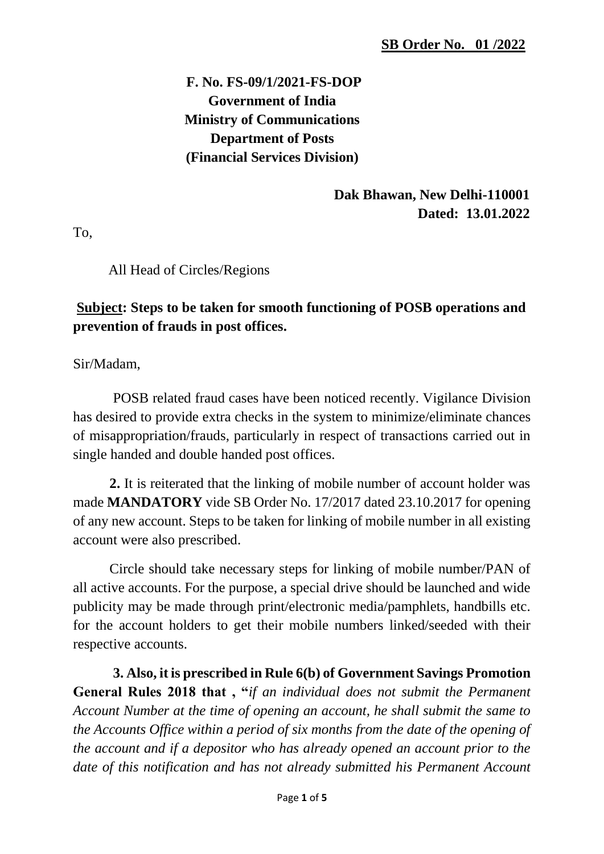# **F. No. FS-09/1/2021-FS-DOP Government of India Ministry of Communications Department of Posts (Financial Services Division)**

### **Dak Bhawan, New Delhi-110001 Dated: 13.01.2022**

To,

All Head of Circles/Regions

### **Subject: Steps to be taken for smooth functioning of POSB operations and prevention of frauds in post offices.**

Sir/Madam,

POSB related fraud cases have been noticed recently. Vigilance Division has desired to provide extra checks in the system to minimize/eliminate chances of misappropriation/frauds, particularly in respect of transactions carried out in single handed and double handed post offices.

**2.** It is reiterated that the linking of mobile number of account holder was made **MANDATORY** vide SB Order No. 17/2017 dated 23.10.2017 for opening of any new account. Steps to be taken for linking of mobile number in all existing account were also prescribed.

Circle should take necessary steps for linking of mobile number/PAN of all active accounts. For the purpose, a special drive should be launched and wide publicity may be made through print/electronic media/pamphlets, handbills etc. for the account holders to get their mobile numbers linked/seeded with their respective accounts.

**3. Also, it is prescribed in Rule 6(b) of Government Savings Promotion General Rules 2018 that , "***if an individual does not submit the Permanent Account Number at the time of opening an account, he shall submit the same to the Accounts Office within a period of six months from the date of the opening of the account and if a depositor who has already opened an account prior to the date of this notification and has not already submitted his Permanent Account*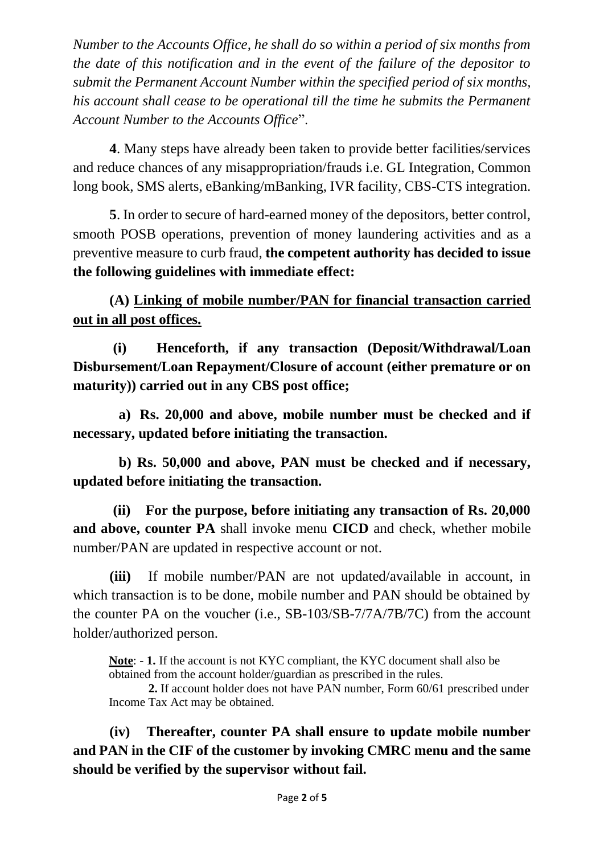*Number to the Accounts Office, he shall do so within a period of six months from the date of this notification and in the event of the failure of the depositor to submit the Permanent Account Number within the specified period of six months, his account shall cease to be operational till the time he submits the Permanent Account Number to the Accounts Office*".

**4**. Many steps have already been taken to provide better facilities/services and reduce chances of any misappropriation/frauds i.e. GL Integration, Common long book, SMS alerts, eBanking/mBanking, IVR facility, CBS-CTS integration.

**5**. In order to secure of hard-earned money of the depositors, better control, smooth POSB operations, prevention of money laundering activities and as a preventive measure to curb fraud, **the competent authority has decided to issue the following guidelines with immediate effect:**

**(A) Linking of mobile number/PAN for financial transaction carried out in all post offices.**

**(i) Henceforth, if any transaction (Deposit/Withdrawal/Loan Disbursement/Loan Repayment/Closure of account (either premature or on maturity)) carried out in any CBS post office;**

**a) Rs. 20,000 and above, mobile number must be checked and if necessary, updated before initiating the transaction.**

**b) Rs. 50,000 and above, PAN must be checked and if necessary, updated before initiating the transaction.**

**(ii) For the purpose, before initiating any transaction of Rs. 20,000 and above, counter PA** shall invoke menu **CICD** and check, whether mobile number/PAN are updated in respective account or not.

**(iii)** If mobile number/PAN are not updated/available in account, in which transaction is to be done, mobile number and PAN should be obtained by the counter PA on the voucher (i.e., SB-103/SB-7/7A/7B/7C) from the account holder/authorized person.

**Note**: - **1.** If the account is not KYC compliant, the KYC document shall also be obtained from the account holder/guardian as prescribed in the rules.

 **2.** If account holder does not have PAN number, Form 60/61 prescribed under Income Tax Act may be obtained.

**(iv) Thereafter, counter PA shall ensure to update mobile number and PAN in the CIF of the customer by invoking CMRC menu and the same should be verified by the supervisor without fail.**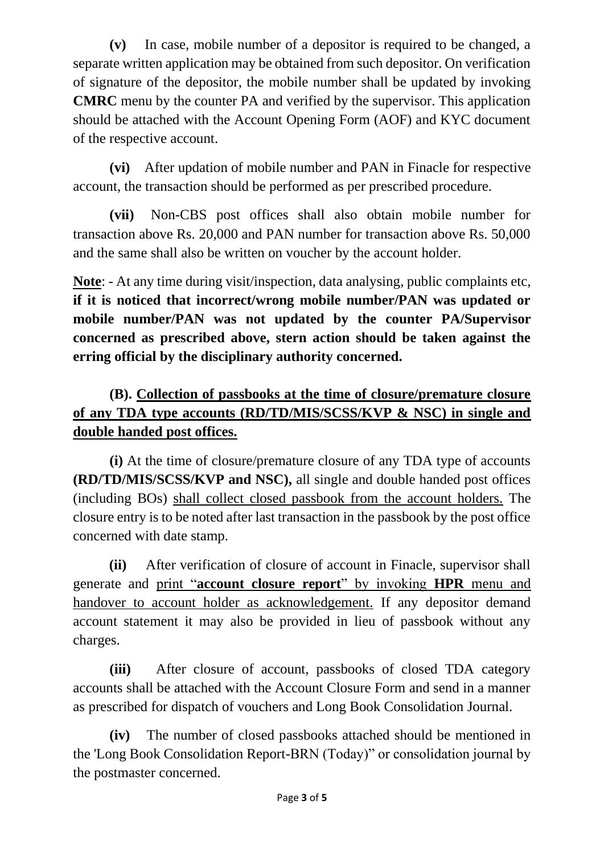**(v)** In case, mobile number of a depositor is required to be changed, a separate written application may be obtained from such depositor. On verification of signature of the depositor, the mobile number shall be updated by invoking **CMRC** menu by the counter PA and verified by the supervisor. This application should be attached with the Account Opening Form (AOF) and KYC document of the respective account.

**(vi)** After updation of mobile number and PAN in Finacle for respective account, the transaction should be performed as per prescribed procedure.

**(vii)** Non-CBS post offices shall also obtain mobile number for transaction above Rs. 20,000 and PAN number for transaction above Rs. 50,000 and the same shall also be written on voucher by the account holder.

**Note**: - At any time during visit/inspection, data analysing, public complaints etc, **if it is noticed that incorrect/wrong mobile number/PAN was updated or mobile number/PAN was not updated by the counter PA/Supervisor concerned as prescribed above, stern action should be taken against the erring official by the disciplinary authority concerned.**

## **(B). Collection of passbooks at the time of closure/premature closure of any TDA type accounts (RD/TD/MIS/SCSS/KVP & NSC) in single and double handed post offices.**

**(i)** At the time of closure/premature closure of any TDA type of accounts **(RD/TD/MIS/SCSS/KVP and NSC),** all single and double handed post offices (including BOs) shall collect closed passbook from the account holders. The closure entry is to be noted after last transaction in the passbook by the post office concerned with date stamp.

 **(ii)** After verification of closure of account in Finacle, supervisor shall generate and print "**account closure report**" by invoking **HPR** menu and handover to account holder as acknowledgement. If any depositor demand account statement it may also be provided in lieu of passbook without any charges.

**(iii)** After closure of account, passbooks of closed TDA category accounts shall be attached with the Account Closure Form and send in a manner as prescribed for dispatch of vouchers and Long Book Consolidation Journal.

**(iv)** The number of closed passbooks attached should be mentioned in the 'Long Book Consolidation Report-BRN (Today)" or consolidation journal by the postmaster concerned.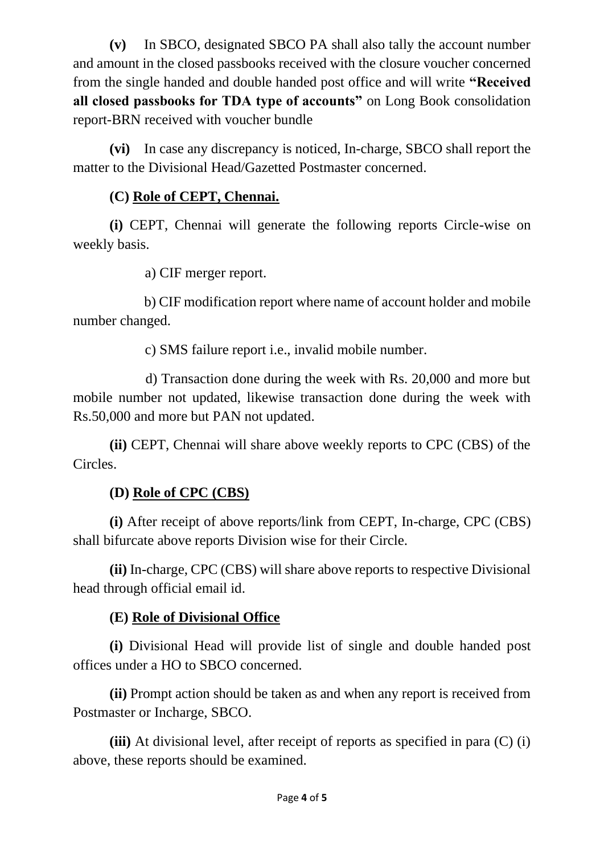**(v)** In SBCO, designated SBCO PA shall also tally the account number and amount in the closed passbooks received with the closure voucher concerned from the single handed and double handed post office and will write **"Received all closed passbooks for TDA type of accounts"** on Long Book consolidation report-BRN received with voucher bundle

**(vi)** In case any discrepancy is noticed, In-charge, SBCO shall report the matter to the Divisional Head/Gazetted Postmaster concerned.

#### **(C) Role of CEPT, Chennai.**

**(i)** CEPT, Chennai will generate the following reports Circle-wise on weekly basis.

a) CIF merger report.

 b) CIF modification report where name of account holder and mobile number changed.

c) SMS failure report i.e., invalid mobile number.

 d) Transaction done during the week with Rs. 20,000 and more but mobile number not updated, likewise transaction done during the week with Rs.50,000 and more but PAN not updated.

**(ii)** CEPT, Chennai will share above weekly reports to CPC (CBS) of the Circles.

#### **(D) Role of CPC (CBS)**

**(i)** After receipt of above reports/link from CEPT, In-charge, CPC (CBS) shall bifurcate above reports Division wise for their Circle.

**(ii)** In-charge, CPC (CBS) will share above reports to respective Divisional head through official email id.

## **(E) Role of Divisional Office**

**(i)** Divisional Head will provide list of single and double handed post offices under a HO to SBCO concerned.

**(ii)** Prompt action should be taken as and when any report is received from Postmaster or Incharge, SBCO.

**(iii)** At divisional level, after receipt of reports as specified in para (C) (i) above, these reports should be examined.